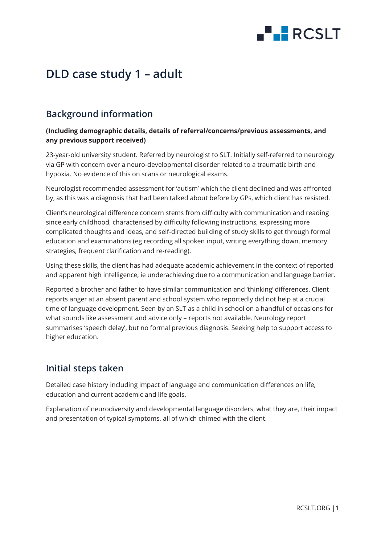

# **DLD case study 1 – adult**

## **Background information**

#### **(Including demographic details, details of referral/concerns/previous assessments, and any previous support received)**

23-year-old university student. Referred by neurologist to SLT. Initially self-referred to neurology via GP with concern over a neuro-developmental disorder related to a traumatic birth and hypoxia. No evidence of this on scans or neurological exams.

Neurologist recommended assessment for 'autism' which the client declined and was affronted by, as this was a diagnosis that had been talked about before by GPs, which client has resisted.

Client's neurological difference concern stems from difficulty with communication and reading since early childhood, characterised by difficulty following instructions, expressing more complicated thoughts and ideas, and self-directed building of study skills to get through formal education and examinations (eg recording all spoken input, writing everything down, memory strategies, frequent clarification and re-reading).

Using these skills, the client has had adequate academic achievement in the context of reported and apparent high intelligence, ie underachieving due to a communication and language barrier.

Reported a brother and father to have similar communication and 'thinking' differences. Client reports anger at an absent parent and school system who reportedly did not help at a crucial time of language development. Seen by an SLT as a child in school on a handful of occasions for what sounds like assessment and advice only – reports not available. Neurology report summarises 'speech delay', but no formal previous diagnosis. Seeking help to support access to higher education.

#### **Initial steps taken**

Detailed case history including impact of language and communication differences on life, education and current academic and life goals.

Explanation of neurodiversity and developmental language disorders, what they are, their impact and presentation of typical symptoms, all of which chimed with the client.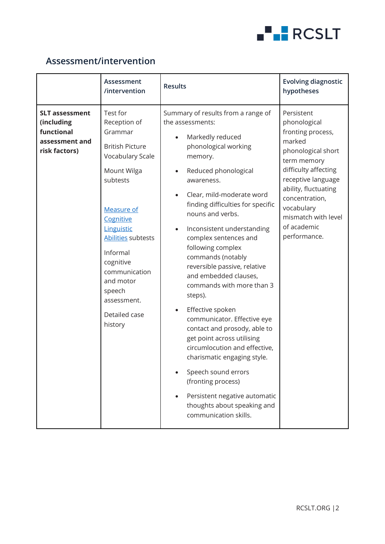

#### **Assessment/intervention**

|                                                                                      | Assessment<br>/intervention                                                                                                                                                                                                                                                                    | <b>Results</b>                                                                                                                                                                                                                                                                                                                                                                                                                                                                                                                                                                                                                                                                                                                                                                                            | <b>Evolving diagnostic</b><br>hypotheses                                                                                                                                                                                                                   |
|--------------------------------------------------------------------------------------|------------------------------------------------------------------------------------------------------------------------------------------------------------------------------------------------------------------------------------------------------------------------------------------------|-----------------------------------------------------------------------------------------------------------------------------------------------------------------------------------------------------------------------------------------------------------------------------------------------------------------------------------------------------------------------------------------------------------------------------------------------------------------------------------------------------------------------------------------------------------------------------------------------------------------------------------------------------------------------------------------------------------------------------------------------------------------------------------------------------------|------------------------------------------------------------------------------------------------------------------------------------------------------------------------------------------------------------------------------------------------------------|
| <b>SLT assessment</b><br>(including<br>functional<br>assessment and<br>risk factors) | Test for<br>Reception of<br>Grammar<br><b>British Picture</b><br>Vocabulary Scale<br>Mount Wilga<br>subtests<br><b>Measure of</b><br>Cognitive<br>Linguistic<br>Abilities subtests<br>Informal<br>cognitive<br>communication<br>and motor<br>speech<br>assessment.<br>Detailed case<br>history | Summary of results from a range of<br>the assessments:<br>Markedly reduced<br>phonological working<br>memory.<br>Reduced phonological<br>awareness.<br>Clear, mild-moderate word<br>$\bullet$<br>finding difficulties for specific<br>nouns and verbs.<br>Inconsistent understanding<br>$\bullet$<br>complex sentences and<br>following complex<br>commands (notably<br>reversible passive, relative<br>and embedded clauses,<br>commands with more than 3<br>steps).<br>Effective spoken<br>$\bullet$<br>communicator. Effective eye<br>contact and prosody, able to<br>get point across utilising<br>circumlocution and effective,<br>charismatic engaging style.<br>Speech sound errors<br>(fronting process)<br>Persistent negative automatic<br>thoughts about speaking and<br>communication skills. | Persistent<br>phonological<br>fronting process,<br>marked<br>phonological short<br>term memory<br>difficulty affecting<br>receptive language<br>ability, fluctuating<br>concentration,<br>vocabulary<br>mismatch with level<br>of academic<br>performance. |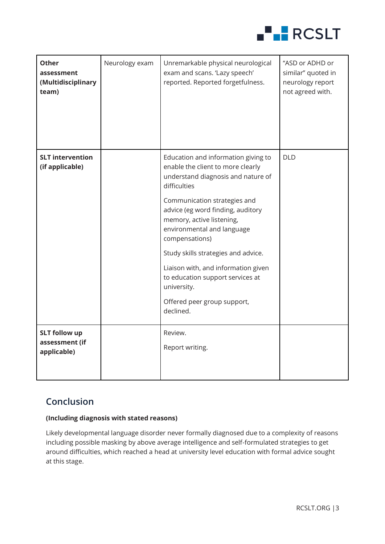

| <b>Other</b><br>assessment<br>(Multidisciplinary<br>team) | Neurology exam | Unremarkable physical neurological<br>exam and scans. 'Lazy speech'<br>reported. Reported forgetfulness.                                                                                                                                                                                                                                                                                                                                         | "ASD or ADHD or<br>similar" quoted in<br>neurology report<br>not agreed with. |
|-----------------------------------------------------------|----------------|--------------------------------------------------------------------------------------------------------------------------------------------------------------------------------------------------------------------------------------------------------------------------------------------------------------------------------------------------------------------------------------------------------------------------------------------------|-------------------------------------------------------------------------------|
| <b>SLT intervention</b><br>(if applicable)                |                | Education and information giving to<br>enable the client to more clearly<br>understand diagnosis and nature of<br>difficulties<br>Communication strategies and<br>advice (eg word finding, auditory<br>memory, active listening,<br>environmental and language<br>compensations)<br>Study skills strategies and advice.<br>Liaison with, and information given<br>to education support services at<br>university.<br>Offered peer group support, | <b>DLD</b>                                                                    |
|                                                           |                | declined.                                                                                                                                                                                                                                                                                                                                                                                                                                        |                                                                               |
| <b>SLT follow up</b><br>assessment (if<br>applicable)     |                | Review.<br>Report writing.                                                                                                                                                                                                                                                                                                                                                                                                                       |                                                                               |

## **Conclusion**

#### **(Including diagnosis with stated reasons)**

Likely developmental language disorder never formally diagnosed due to a complexity of reasons including possible masking by above average intelligence and self-formulated strategies to get around difficulties, which reached a head at university level education with formal advice sought at this stage.